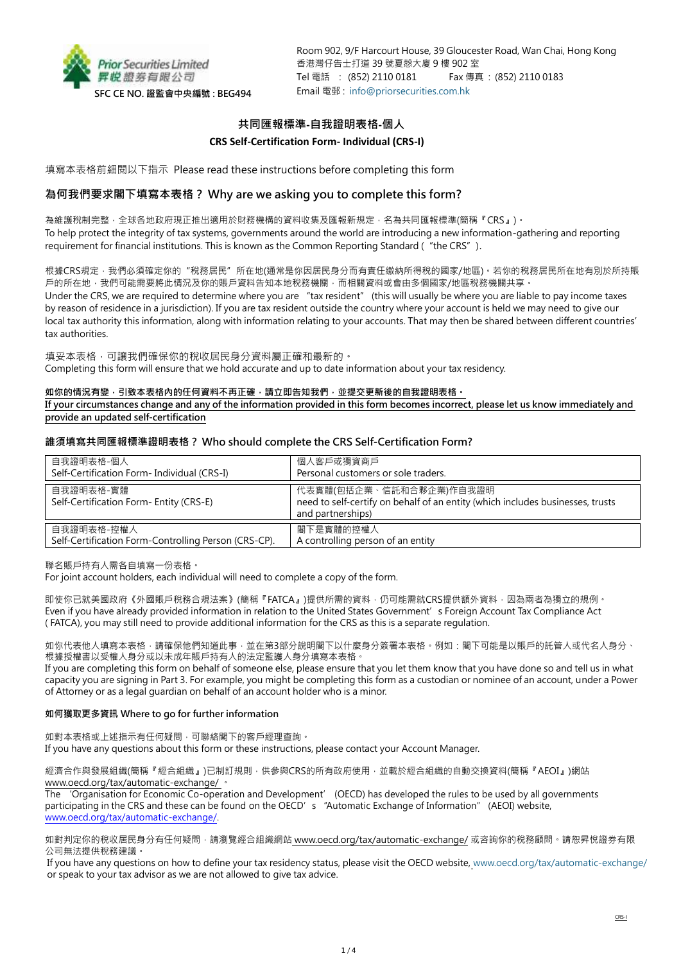

Room 902, 9/F Harcourt House, 39 Gloucester Road, Wan Chai, Hong Kong 香港灣仔告士打道 39 號夏慤大廈 9 樓 902 室 Tel 電話 : (852) 2110 0181 Fax 傳真 : (852) 2110 0183 Email 電郵 : [info@priorsecurities.com.hk](mailto:info@priorsecurities.com.hk)

# **共同匯報標準-自我證明表格-個人**

## **CRS Self-Certification Form- Individual (CRS-I)**

填寫本表格前細閱以下指示 Please read these instructions before completing this form

# **為何我們要求閣下填寫本表格? Why are we asking you to complete this form?**

為維護稅制完整,全球各地政府現正推出適用於財務機構的資料收集及匯報新規定,名為共同匯報標準(簡稱『CRS』)。 To help protect the integrity of tax systems, governments around the world are introducing a new information-gathering and reporting requirement for financial institutions. This is known as the Common Reporting Standard ("the CRS").

根據CRS規定 · 我們必須確定你的"稅務居民"所在地(通常是你因居民身分而有責任繳納所得稅的國家/地區) · 若你的稅務居民所在地有別於所持賬 戸的所在地,我們可能需要將此情況及你的賬戶資料告知本地稅務機關,而相關資料或會由多個國家/地區稅務機關共享。 Under the CRS, we are required to determine where you are "tax resident" (this will usually be where you are liable to pay income taxes by reason of residence in a jurisdiction). If you are tax resident outside the country where your account is held we may need to give our local tax authority this information, along with information relating to your accounts. That may then be shared between different countries' tax authorities.

填妥本表格,可讓我們確保你的稅收居民身分資料屬正確和最新的。

Completing this form will ensure that we hold accurate and up to date information about your tax residency.

### 如你的情況有變,引致本表格內的任何資料不再正確,請立即告知我們,並提交更新後的自我證明表格。

**If your circumstances change and any of the information provided in this form becomes incorrect, please let us know immediately and provide an updated self-certification**

## **誰須填寫共同匯報標準證明表格? Who should complete the CRS Self-Certification Form?**

| 自我證明表格-個人                                                          | 個人客戶或獨資商戶                                                                                                                      |
|--------------------------------------------------------------------|--------------------------------------------------------------------------------------------------------------------------------|
| Self-Certification Form- Individual (CRS-I)                        | Personal customers or sole traders.                                                                                            |
| 自我證明表格-實體<br>Self-Certification Form- Entity (CRS-E)               | 代表實體(包括企業、信託和合夥企業)作自我證明<br>need to self-certify on behalf of an entity (which includes businesses, trusts<br>and partnerships) |
| 自我證明表格-控權人<br>Self-Certification Form-Controlling Person (CRS-CP). | 閣下是實體的控權人<br>A controlling person of an entity                                                                                 |

聯名賬戶持有人需各自填寫一份表格。

For joint account holders, each individual will need to complete a copy of the form.

即使你已就美國政府《外國賬戶稅務合規法案》(簡稱『FATCA』)提供所需的資料,仍可能需就CRS提供額外資料,因為兩者為獨立的規例。 Even if you have already provided information in relation to the United States Government's Foreign Account Tax Compliance Act ( FATCA), you may still need to provide additional information for the CRS as this is a separate regulation.

如你代表他人填寫本表格 · 請確保他們知道此事 · 並在第3部分說明閣下以什麼身分簽署本表格 · 例如:閣下可能是以賬戶的託管人或代名人身分 · 根據授權書以受權人身分或以未成年賬戶持有人的法定監護人身分填寫本表格。

If you are completing this form on behalf of someone else, please ensure that you let them know that you have done so and tell us in what capacity you are signing in Part 3. For example, you might be completing this form as a custodian or nominee of an account, under a Power of Attorney or as a legal guardian on behalf of an account holder who is a minor.

### **如何獲取更多資訊 Where to go for further information**

如對本表格或上述指示有任何疑問,可聯絡閣下的客戶經理查詢。 If you have any questions about this form or these instructions, please contact your Account Manager.

經濟合作與發展組織(簡稱『經合組織』)已制訂規則,供參與CRS的所有政府使用,並載於經合組織的自動交換資料(簡稱『AEOI』)網站 www.oecd.org/tax/automatic-exchange/ 。

The 'Organisation for Economic Co-operation and Development' (OECD) has developed the rules to be used by all governments participating in the CRS and these can be found on the OECD's "Automatic Exchange of Information" (AEOI) website, [www.oecd.org/tax/automatic-exchange/.](http://www.oecd.org/tax/automatic-exchange/)

如對判定你的稅收居民身分有任何疑問,請瀏覽經合組織網站 www.oecd.org/tax/automatic-exchange/ 或咨詢你的稅務顧問。請恕昇悅證券有限 公司無法提供稅務建議。

If you have any questions on how to define your tax residency status, please visit the OECD website, [www.oecd.org/tax/automatic-exchange/](http://www.oecd.org/tax/automatic-exchange/) or speak to your tax advisor as we are not allowed to give tax advice.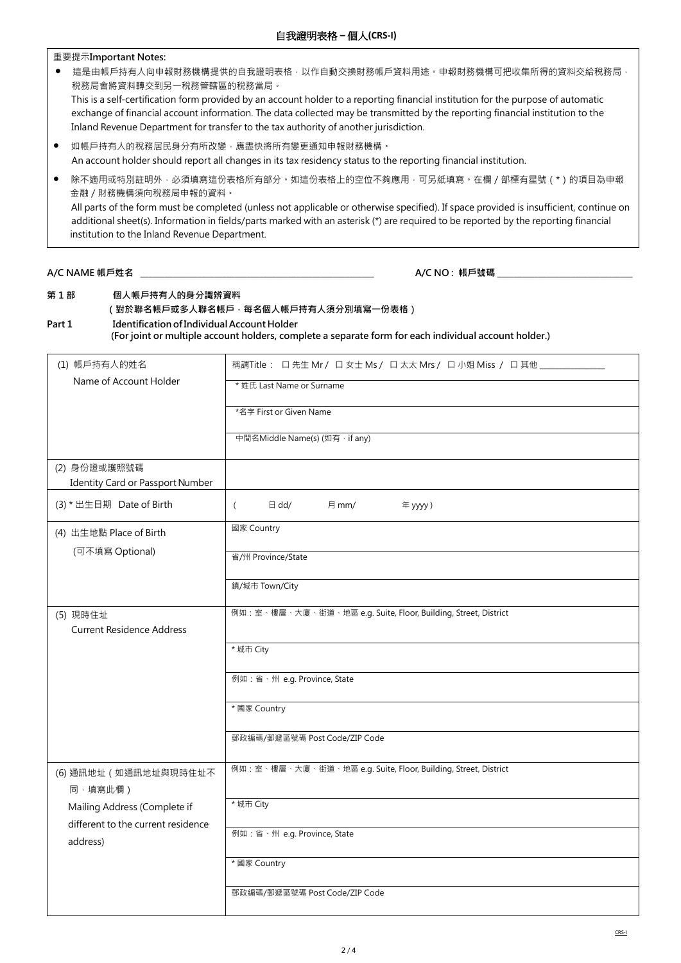重要提示**Important Notes:**

- 這是由帳戶持有人向申報財務機構提供的自我證明表格,以作自動交換財務帳戶資料用途。申報財務機構可把收集所得的資料交給稅務局, 稅務局會將資料轉交到另一稅務管轄區的稅務當局。 This is a self-certification form provided by an account holder to a reporting financial institution for the purpose of automatic exchange of financial account information. The data collected may be transmitted by the reporting financial institution to the Inland Revenue Department for transfer to the tax authority of another jurisdiction.
- 如帳戶持有人的稅務居民身分有所改變,應盡快將所有變更通知申報財務機構。 An account holder should report all changes in its tax residency status to the reporting financial institution.
- 除不適用或特別註明外 · 必須填寫這份表格所有部分。如這份表格上的空位不夠應用 · 可另紙填寫 · 在欄 / 部標有星號 ( \* ) 的項目為申報 金融/財務機構須向稅務局申報的資料。 All parts of the form must be completed (unless not applicable or otherwise specified). If space provided is insufficient, continue on additional sheet(s). Information in fields/parts marked with an asterisk (\*) are required to be reported by the reporting financial institution to the Inland Revenue Department.

# **A/C NAME 帳戶姓名 \_\_\_\_\_\_\_\_\_\_\_\_\_\_\_\_\_\_\_\_\_\_\_\_\_\_\_\_\_\_\_\_\_\_\_\_\_\_\_\_\_\_\_\_\_\_\_\_\_\_\_\_\_\_\_\_\_ A/C NO : 帳戶號碼** \_\_\_\_\_\_\_\_\_\_\_\_\_\_\_\_\_\_\_\_\_\_\_\_\_\_\_\_\_\_\_\_\_

# **第 1 部 個人帳戶持有人的身分識辨資料 (對於聯名帳戶或多人聯名帳戶,每名個人帳戶持有人須分別填寫一份表格)**

# **Part 1 IdentificationofIndividual Account Holder (For joint or multiple account holders, complete a separate form for each individual account holder.)**

| (1) 帳戶持有人的姓名                                 | 稱謂Title : 口先生 Mr / 口女士 Ms / 口太太 Mrs / 口小姐 Miss / 口其他 ___________ |  |  |  |
|----------------------------------------------|------------------------------------------------------------------|--|--|--|
| Name of Account Holder                       | * 姓氏 Last Name or Surname                                        |  |  |  |
|                                              | *名字 First or Given Name                                          |  |  |  |
|                                              | 中間名Middle Name(s) (如有, if any)                                   |  |  |  |
| (2) 身份證或護照號碼                                 |                                                                  |  |  |  |
| Identity Card or Passport Number             |                                                                  |  |  |  |
| (3) * 出生日期 Date of Birth                     | $\boxminus$ dd/<br>月 mm/<br>年 yyyy)<br>$\left($                  |  |  |  |
| (4) 出生地點 Place of Birth                      | 國家 Country                                                       |  |  |  |
| (可不填寫 Optional)                              | 省/州 Province/State                                               |  |  |  |
|                                              | 鎮/城市 Town/City                                                   |  |  |  |
| (5) 現時住址<br><b>Current Residence Address</b> | 例如:室、樓層、大廈、街道、地區 e.g. Suite, Floor, Building, Street, District   |  |  |  |
|                                              | * 城市 City                                                        |  |  |  |
|                                              | 例如:省、州 e.g. Province, State                                      |  |  |  |
|                                              | * 國家 Country                                                     |  |  |  |
|                                              | 郵政編碼/郵遞區號碼 Post Code/ZIP Code                                    |  |  |  |
| (6) 通訊地址 (如通訊地址與現時住址不<br>同·填寫此欄)             | 例如:室、樓層、大廈、街道、地區 e.g. Suite, Floor, Building, Street, District   |  |  |  |
| Mailing Address (Complete if                 | * 城市 City                                                        |  |  |  |
| different to the current residence           |                                                                  |  |  |  |
| address)                                     | 例如:省、州 e.g. Province, State                                      |  |  |  |
|                                              | * 國家 Country                                                     |  |  |  |
|                                              | 郵政編碼/郵遞區號碼 Post Code/ZIP Code                                    |  |  |  |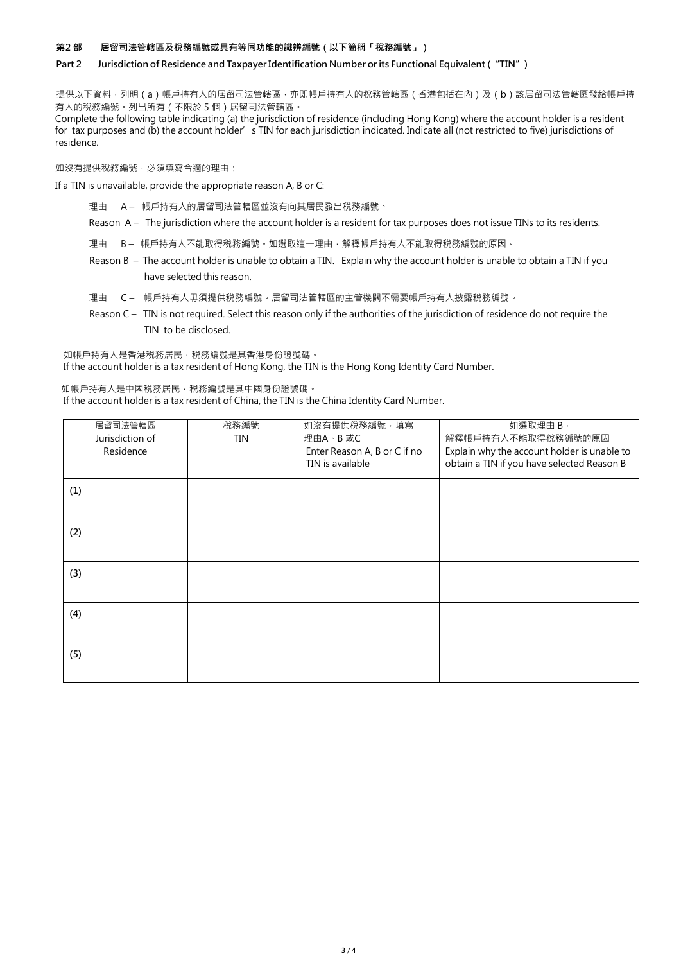### **第2 部 居留司法管轄區及稅務編號或具有等同功能的識辨編號(以下簡稱「稅務編號」)**

## **Part 2 Jurisdiction of Residence and TaxpayerIdentification Number orits Functional Equivalent ("TIN")**

提供以下資料,列明(a)帳戶持有人的居留司法管轄區,亦即帳戶持有人的稅務管轄區(香港包括在內)及(b)該居留司法管轄區發給帳戶持 有人的稅務編號。列出所有(不限於 5 個)居留司法管轄區。

Complete the following table indicating (a) the jurisdiction of residence (including Hong Kong) where the account holder is a resident for tax purposes and (b) the account holder's TIN for each jurisdiction indicated. Indicate all (not restricted to five) jurisdictions of residence.

如沒有提供稅務編號,必須填寫合適的理由:

If a TIN is unavailable, provide the appropriate reason A, B or C:

- 理由 A 帳戶持有人的居留司法管轄區並沒有向其居民發出稅務編號。
- Reason A The jurisdiction where the account holder is a resident for tax purposes does not issue TINs to its residents.
- 理由 B- 帳戶持有人不能取得稅務編號。如選取這一理由,解釋帳戶持有人不能取得稅務編號的原因。
- Reason B The account holder is unable to obtain a TIN. Explain why the account holder is unable to obtain a TIN if you have selected this reason.
- 理由 C 帳戶持有人毋須提供稅務編號。居留司法管轄區的主管機關不需要帳戶持有人披露稅務編號。
- Reason C TIN is not required. Select this reason only if the authorities of the jurisdiction of residence do not require the TIN to be disclosed.

如帳戶持有人是香港稅務居民,稅務編號是其香港身份證號碼。 If the account holder is a tax resident of Hong Kong, the TIN is the Hong Kong Identity Card Number.

如帳戶持有人是中國稅務居民,稅務編號是其中國身份證號碼。 If the account holder is a tax resident of China, the TIN is the China Identity Card Number.

| 居留司法管轄區<br>Jurisdiction of | 稅務編號<br>TIN | 如沒有提供稅務編號,填寫<br>理由A、B 或C                         | 如選取理由 B,<br>解釋帳戶持有人不能取得稅務編號的原因                                                            |
|----------------------------|-------------|--------------------------------------------------|-------------------------------------------------------------------------------------------|
| Residence                  |             | Enter Reason A, B or C if no<br>TIN is available | Explain why the account holder is unable to<br>obtain a TIN if you have selected Reason B |
| (1)                        |             |                                                  |                                                                                           |
| (2)                        |             |                                                  |                                                                                           |
| (3)                        |             |                                                  |                                                                                           |
| (4)                        |             |                                                  |                                                                                           |
| (5)                        |             |                                                  |                                                                                           |